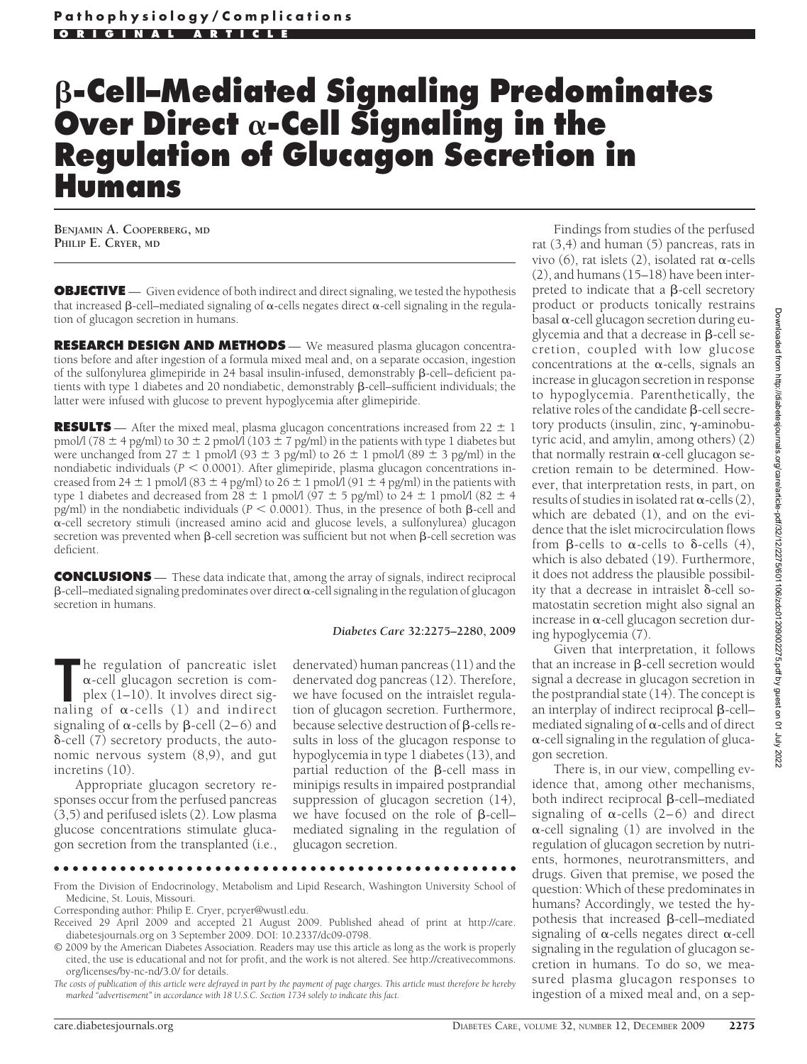# **-Cell–Mediated Signaling Predominates** Over Direct  $\alpha$ -Cell Signaling in the **Regulation of Glucagon Secretion in Humans**

**BENJAMIN A. COOPERBERG, MD PHILIP E. CRYER, MD**

**OBJECTIVE** — Given evidence of both indirect and direct signaling, we tested the hypothesis that increased  $\beta$ -cell–mediated signaling of  $\alpha$ -cells negates direct  $\alpha$ -cell signaling in the regulation of glucagon secretion in humans.

**RESEARCH DESIGN AND METHODS** — We measured plasma glucagon concentrations before and after ingestion of a formula mixed meal and, on a separate occasion, ingestion of the sulfonylurea glimepiride in 24 basal insulin-infused, demonstrably  $\beta$ -cell-deficient patients with type 1 diabetes and 20 nondiabetic, demonstrably  $\beta$ -cell-sufficient individuals; the latter were infused with glucose to prevent hypoglycemia after glimepiride.

**RESULTS** — After the mixed meal, plasma glucagon concentrations increased from  $22 \pm 1$ pmol/l (78  $\pm$  4 pg/ml) to 30  $\pm$  2 pmol/l (103  $\pm$  7 pg/ml) in the patients with type 1 diabetes but were unchanged from  $27 \pm 1$  pmol/l (93  $\pm$  3 pg/ml) to  $26 \pm 1$  pmol/l (89  $\pm$  3 pg/ml) in the nondiabetic individuals ( $P < 0.0001$ ). After glimepiride, plasma glucagon concentrations increased from 24  $\pm$  1 pmol/l (83  $\pm$  4 pg/ml) to 26  $\pm$  1 pmol/l (91  $\pm$  4 pg/ml) in the patients with type 1 diabetes and decreased from  $28 \pm 1$  pmol/l (97  $\pm$  5 pg/ml) to  $24 \pm 1$  pmol/l (82  $\pm$  4 pg/ml) in the nondiabetic individuals ( $P < 0.0001$ ). Thus, in the presence of both  $\beta$ -cell and --cell secretory stimuli (increased amino acid and glucose levels, a sulfonylurea) glucagon secretion was prevented when  $\beta$ -cell secretion was sufficient but not when  $\beta$ -cell secretion was deficient.

**CONCLUSIONS** — These data indicate that, among the array of signals, indirect reciprocal  $\beta$ -cell–mediated signaling predominates over direct  $\alpha$ -cell signaling in the regulation of glucagon secretion in humans.

#### *Diabetes Care* **32:2275–2280, 2009**

**The regulation of pancreatic islet**  $\alpha$ **-cell glucagon secretion is complex (1–10). It involves direct signaling of**  $\alpha$ **-cells (1) and indirect** he regulation of pancreatic islet --cell glucagon secretion is complex (1–10). It involves direct sigsignaling of  $\alpha$ -cells by  $\beta$ -cell (2–6) and -cell (7) secretory products, the autonomic nervous system (8,9), and gut incretins (10).

Appropriate glucagon secretory responses occur from the perfused pancreas (3,5) and perifused islets (2). Low plasma glucose concentrations stimulate glucagon secretion from the transplanted (i.e.,

denervated) human pancreas (11) and the denervated dog pancreas (12). Therefore, we have focused on the intraislet regulation of glucagon secretion. Furthermore, because selective destruction of  $\beta$ -cells results in loss of the glucagon response to hypoglycemia in type 1 diabetes (13), and partial reduction of the  $\beta$ -cell mass in minipigs results in impaired postprandial suppression of glucagon secretion (14), we have focused on the role of  $\beta$ -cellmediated signaling in the regulation of glucagon secretion.

●●●●●●●●●●●●●●●●●●●●●●●●●●●●●●●●●●●●●●●●●●●●●●●●●

Findings from studies of the perfused rat (3,4) and human (5) pancreas, rats in vivo (6), rat islets (2), isolated rat  $\alpha$ -cells (2), and humans (15–18) have been interpreted to indicate that a  $\beta$ -cell secretory product or products tonically restrains  $b$ asal  $\alpha$ -cell glucagon secretion during euglycemia and that a decrease in  $\beta$ -cell secretion, coupled with low glucose concentrations at the  $\alpha$ -cells, signals an increase in glucagon secretion in response to hypoglycemia. Parenthetically, the relative roles of the candidate  $\beta$ -cell secretory products (insulin, zinc,  $\gamma$ -aminobutyric acid, and amylin, among others) (2) that normally restrain  $\alpha$ -cell glucagon secretion remain to be determined. However, that interpretation rests, in part, on results of studies in isolated rat  $\alpha$ -cells (2), which are debated (1), and on the evidence that the islet microcirculation flows from  $\beta$ -cells to  $\alpha$ -cells to  $\delta$ -cells (4), which is also debated (19). Furthermore, it does not address the plausible possibility that a decrease in intraislet  $\delta$ -cell somatostatin secretion might also signal an increase in  $\alpha$ -cell glucagon secretion during hypoglycemia (7).

Given that interpretation, it follows that an increase in  $\beta$ -cell secretion would signal a decrease in glucagon secretion in the postprandial state (14). The concept is an interplay of indirect reciprocal  $\beta$ -cell– mediated signaling of  $\alpha$ -cells and of direct  $\alpha$ -cell signaling in the regulation of glucagon secretion.

There is, in our view, compelling evidence that, among other mechanisms, both indirect reciprocal  $\beta$ -cell–mediated signaling of  $\alpha$ -cells (2-6) and direct  $\alpha$ -cell signaling (1) are involved in the regulation of glucagon secretion by nutrients, hormones, neurotransmitters, and drugs. Given that premise, we posed the question: Which of these predominates in humans? Accordingly, we tested the hypothesis that increased  $\beta$ -cell–mediated signaling of  $\alpha$ -cells negates direct  $\alpha$ -cell signaling in the regulation of glucagon secretion in humans. To do so, we measured plasma glucagon responses to ingestion of a mixed meal and, on a sep-

From the Division of Endocrinology, Metabolism and Lipid Research, Washington University School of Medicine, St. Louis, Missouri.

Corresponding author: Philip E. Cryer, pcryer@wustl.edu.

Received 29 April 2009 and accepted 21 August 2009. Published ahead of print at http://care. diabetesjournals.org on 3 September 2009. DOI: 10.2337/dc09-0798.

<sup>© 2009</sup> by the American Diabetes Association. Readers may use this article as long as the work is properly cited, the use is educational and not for profit, and the work is not altered. See http://creativecommons. org/licenses/by-nc-nd/3.0/ for details.

*The costs of publication of this article were defrayed in part by the payment of page charges. This article must therefore be hereby marked "advertisement" in accordance with 18 U.S.C. Section 1734 solely to indicate this fact.*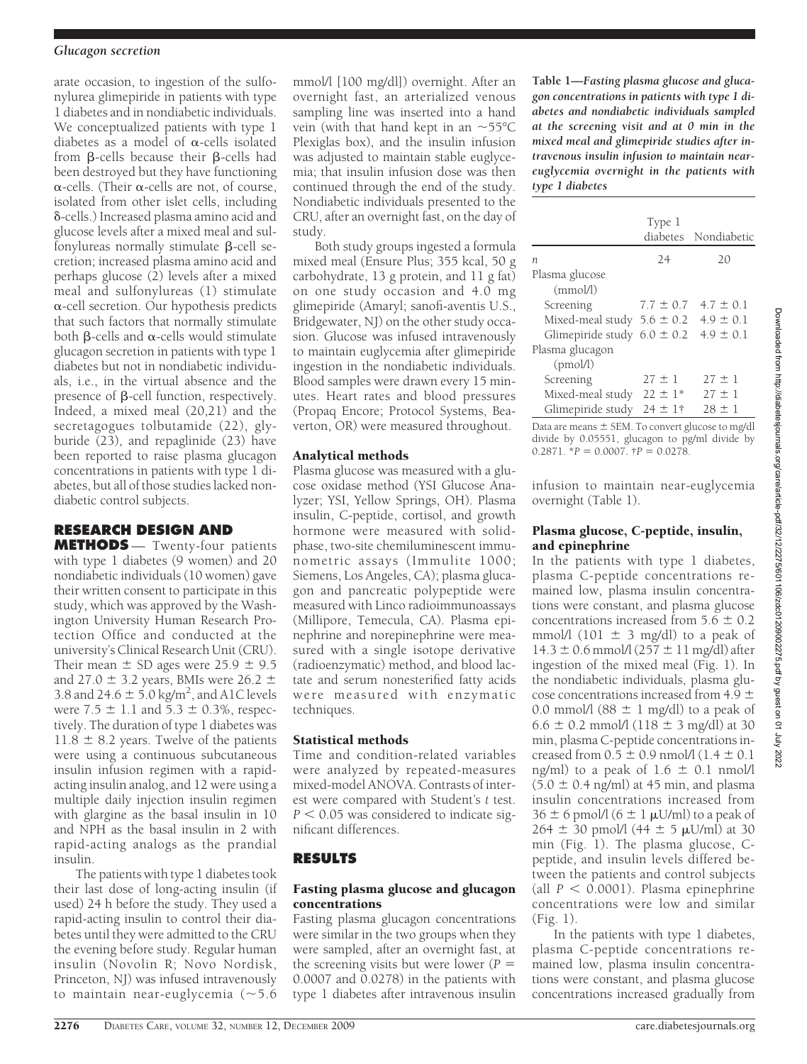#### *Glucagon secretion*

arate occasion, to ingestion of the sulfonylurea glimepiride in patients with type 1 diabetes and in nondiabetic individuals. We conceptualized patients with type 1 diabetes as a model of  $\alpha$ -cells isolated from  $\beta$ -cells because their  $\beta$ -cells had been destroyed but they have functioning  $\alpha$ -cells. (Their  $\alpha$ -cells are not, of course, isolated from other islet cells, including -cells.) Increased plasma amino acid and glucose levels after a mixed meal and sul- $\bar{f}$ onylureas normally stimulate  $\beta$ -cell secretion; increased plasma amino acid and perhaps glucose (2) levels after a mixed meal and sulfonylureas (1) stimulate --cell secretion. Our hypothesis predicts that such factors that normally stimulate both  $\beta$ -cells and  $\alpha$ -cells would stimulate glucagon secretion in patients with type 1 diabetes but not in nondiabetic individuals, i.e., in the virtual absence and the presence of  $\beta$ -cell function, respectively. Indeed, a mixed meal (20,21) and the secretagogues tolbutamide (22), glyburide (23), and repaglinide (23) have been reported to raise plasma glucagon concentrations in patients with type 1 diabetes, but all of those studies lacked nondiabetic control subjects.

# **RESEARCH DESIGN AND**

**METHODS** — Twenty-four patients with type 1 diabetes (9 women) and 20 nondiabetic individuals (10 women) gave their written consent to participate in this study, which was approved by the Washington University Human Research Protection Office and conducted at the university's Clinical Research Unit (CRU). Their mean  $\pm$  SD ages were 25.9  $\pm$  9.5 and 27.0  $\pm$  3.2 years, BMIs were 26.2  $\pm$ 3.8 and 24.6  $\pm$  5.0 kg/m<sup>2</sup>, and A1C levels were  $7.5 \pm 1.1$  and  $5.3 \pm 0.3$ %, respectively. The duration of type 1 diabetes was  $11.8 \pm 8.2$  years. Twelve of the patients were using a continuous subcutaneous insulin infusion regimen with a rapidacting insulin analog, and 12 were using a multiple daily injection insulin regimen with glargine as the basal insulin in 10 and NPH as the basal insulin in 2 with rapid-acting analogs as the prandial insulin.

The patients with type 1 diabetes took their last dose of long-acting insulin (if used) 24 h before the study. They used a rapid-acting insulin to control their diabetes until they were admitted to the CRU the evening before study. Regular human insulin (Novolin R; Novo Nordisk, Princeton, NJ) was infused intravenously to maintain near-euglycemia  $(\sim 5.6)$ 

mmol/l [100 mg/dl]) overnight. After an overnight fast, an arterialized venous sampling line was inserted into a hand vein (with that hand kept in an  $\sim$ 55°C Plexiglas box), and the insulin infusion was adjusted to maintain stable euglycemia; that insulin infusion dose was then continued through the end of the study. Nondiabetic individuals presented to the CRU, after an overnight fast, on the day of study.

Both study groups ingested a formula mixed meal (Ensure Plus; 355 kcal, 50 g carbohydrate, 13 g protein, and 11 g fat) on one study occasion and 4.0 mg glimepiride (Amaryl; sanofi-aventis U.S., Bridgewater, NJ) on the other study occasion. Glucose was infused intravenously to maintain euglycemia after glimepiride ingestion in the nondiabetic individuals. Blood samples were drawn every 15 minutes. Heart rates and blood pressures (Propaq Encore; Protocol Systems, Beaverton, OR) were measured throughout.

## Analytical methods

Plasma glucose was measured with a glucose oxidase method (YSI Glucose Analyzer; YSI, Yellow Springs, OH). Plasma insulin, C-peptide, cortisol, and growth hormone were measured with solidphase, two-site chemiluminescent immunometric assays (Immulite 1000; Siemens, Los Angeles, CA); plasma glucagon and pancreatic polypeptide were measured with Linco radioimmunoassays (Millipore, Temecula, CA). Plasma epinephrine and norepinephrine were measured with a single isotope derivative (radioenzymatic) method, and blood lactate and serum nonesterified fatty acids were measured with enzymatic techniques.

# Statistical methods

Time and condition-related variables were analyzed by repeated-measures mixed-model ANOVA. Contrasts of interest were compared with Student's *t* test.  $P < 0.05$  was considered to indicate significant differences.

# **RESULTS**

## Fasting plasma glucose and glucagon concentrations

Fasting plasma glucagon concentrations were similar in the two groups when they were sampled, after an overnight fast, at the screening visits but were lower (*P* 0.0007 and 0.0278) in the patients with type 1 diabetes after intravenous insulin

**Table 1—***Fasting plasma glucose and glucagon concentrations in patients with type 1 diabetes and nondiabetic individuals sampled at the screening visit and at 0 min in the mixed meal and glimepiride studies after intravenous insulin infusion to maintain neareuglycemia overnight in the patients with type 1 diabetes*

|                                              | Type 1       | diabetes Nondiabetic        |
|----------------------------------------------|--------------|-----------------------------|
| n                                            | 24           | 20                          |
| Plasma glucose<br>(mmol/l)                   |              |                             |
| Screening                                    |              | $7.7 \pm 0.7$ 4.7 $\pm$ 0.1 |
| Mixed-meal study $5.6 \pm 0.2$ 4.9 $\pm$ 0.1 |              |                             |
| Glimepiride study $6.0 \pm 0.2$              |              | $4.9 \pm 0.1$               |
| Plasma glucagon<br>(pmol/l)                  |              |                             |
| Screening                                    | $27 \pm 1$   | $27 \pm 1$                  |
| Mixed-meal study $22 \pm 1^*$                |              | $27 \pm 1$                  |
| Glimepiride study                            | $24 \pm 1$ † | $28 \pm 1$                  |

Data are means  $\pm$  SEM. To convert glucose to mg/dl divide by 0.05551, glucagon to pg/ml divide by  $0.2871.^{*}P = 0.0007.^{*}P = 0.0278.$ 

infusion to maintain near-euglycemia overnight (Table 1).

#### Plasma glucose, C-peptide, insulin, and epinephrine

In the patients with type 1 diabetes, plasma C-peptide concentrations remained low, plasma insulin concentrations were constant, and plasma glucose concentrations increased from  $5.6 \pm 0.2$ mmol/l (101  $\pm$  3 mg/dl) to a peak of  $14.3 \pm 0.6$  mmol/l ( $257 \pm 11$  mg/dl) after ingestion of the mixed meal (Fig. 1). In the nondiabetic individuals, plasma glucose concentrations increased from 4.9  $\pm$ 0.0 mmol/l (88  $\pm$  1 mg/dl) to a peak of  $6.6 \pm 0.2$  mmol/l (118  $\pm$  3 mg/dl) at 30 min, plasma C-peptide concentrations increased from  $0.5 \pm 0.9$  nmol/l  $(1.4 \pm 0.1)$ ng/ml) to a peak of  $1.6 \pm 0.1$  nmol/l  $(5.0 \pm 0.4 \text{ ng/ml})$  at 45 min, and plasma insulin concentrations increased from  $36 \pm 6$  pmol/l  $(6 \pm 1 \mu U/ml)$  to a peak of  $264 \pm 30$  pmol/l (44  $\pm$  5  $\mu$ U/ml) at 30 min (Fig. 1). The plasma glucose, Cpeptide, and insulin levels differed between the patients and control subjects (all  $P < 0.0001$ ). Plasma epinephrine concentrations were low and similar (Fig. 1).

In the patients with type 1 diabetes, plasma C-peptide concentrations remained low, plasma insulin concentrations were constant, and plasma glucose concentrations increased gradually from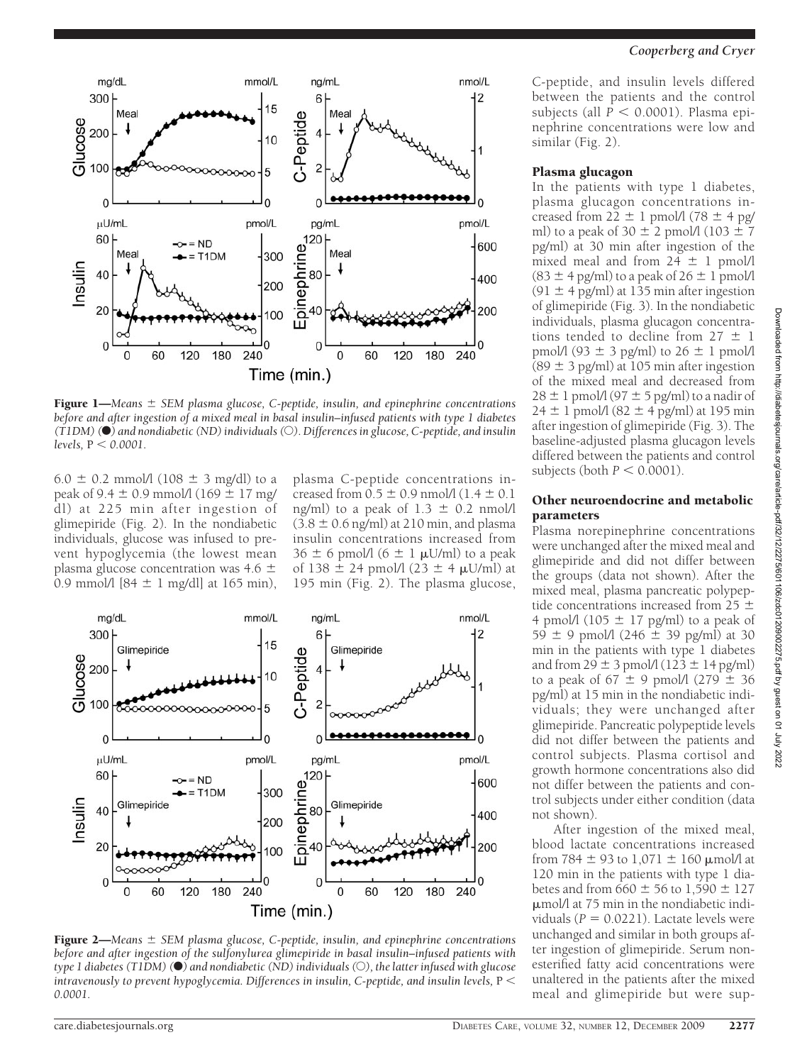



## Plasma glucagon

In the patients with type 1 diabetes, plasma glucagon concentrations increased from  $22 \pm 1$  pmol/l (78  $\pm$  4 pg/ ml) to a peak of 30  $\pm$  2 pmol/l (103  $\pm$  7 pg/ml) at 30 min after ingestion of the mixed meal and from  $24 \pm 1$  pmol/l  $(83 \pm 4 \text{ pg/ml})$  to a peak of  $26 \pm 1 \text{ pmol/l}$  $(91 \pm 4$  pg/ml) at 135 min after ingestion of glimepiride (Fig. 3). In the nondiabetic individuals, plasma glucagon concentrations tended to decline from  $27 \pm 1$ pmol/l (93  $\pm$  3 pg/ml) to 26  $\pm$  1 pmol/l  $(89 \pm 3 \text{ pg/ml})$  at 105 min after ingestion of the mixed meal and decreased from  $28 \pm 1$  pmol/l (97  $\pm$  5 pg/ml) to a nadir of  $24 \pm 1$  pmol/l (82  $\pm$  4 pg/ml) at 195 min after ingestion of glimepiride (Fig. 3). The baseline-adjusted plasma glucagon levels differed between the patients and control subjects (both  $P < 0.0001$ ).

## Other neuroendocrine and metabolic parameters

Plasma norepinephrine concentrations were unchanged after the mixed meal and glimepiride and did not differ between the groups (data not shown). After the mixed meal, plasma pancreatic polypeptide concentrations increased from 25  $\pm$ 4 pmol/l (105  $\pm$  17 pg/ml) to a peak of  $59 \pm 9$  pmol/l (246  $\pm$  39 pg/ml) at 30 min in the patients with type 1 diabetes and from  $29 \pm 3$  pmol/l (123  $\pm$  14 pg/ml) to a peak of  $67 \pm 9$  pmol/l  $(279 \pm 36)$ pg/ml) at 15 min in the nondiabetic individuals; they were unchanged after glimepiride. Pancreatic polypeptide levels did not differ between the patients and control subjects. Plasma cortisol and growth hormone concentrations also did not differ between the patients and control subjects under either condition (data not shown).

After ingestion of the mixed meal, blood lactate concentrations increased from 784  $\pm$  93 to 1,071  $\pm$  160  $\mu$ mol/l at 120 min in the patients with type 1 diabetes and from  $660 \pm 56$  to  $1,590 \pm 127$  $\mu$ mol/l at 75 min in the nondiabetic individuals ( $P = 0.0221$ ). Lactate levels were unchanged and similar in both groups after ingestion of glimepiride. Serum nonesterified fatty acid concentrations were unaltered in the patients after the mixed meal and glimepiride but were sup-



Figure 1—*Means SEM plasma glucose, C-peptide, insulin, and epinephrine concentrations before and after ingestion of a mixed meal in basal insulin–infused patients with type 1 diabetes (T1DM) (*F*) and nondiabetic (ND) individuals (*E*). Differences in glucose, C-peptide, and insulin levels,* P *0.0001.*

6.0  $\pm$  0.2 mmol/l (108  $\pm$  3 mg/dl) to a peak of 9.4  $\pm$  0.9 mmol/l (169  $\pm$  17 mg/ dl) at 225 min after ingestion of glimepiride (Fig. 2). In the nondiabetic individuals, glucose was infused to prevent hypoglycemia (the lowest mean plasma glucose concentration was  $4.6 \pm$ 0.9 mmol/l  $[84 \pm 1 \text{ mg/d}]$  at 165 min),

plasma C-peptide concentrations increased from  $0.5 \pm 0.9$  nmol/l (1.4  $\pm$  0.1 ng/ml) to a peak of  $1.3 \pm 0.2$  nmol/l  $(3.8 \pm 0.6 \text{ ng/ml})$  at 210 min, and plasma insulin concentrations increased from  $36 \pm 6$  pmol/l  $(6 \pm 1 \text{ }\mu\text{U/ml})$  to a peak of 138  $\pm$  24 pmol/l (23  $\pm$  4  $\mu$ U/ml) at 195 min (Fig. 2). The plasma glucose,



Figure 2—*Means SEM plasma glucose, C-peptide, insulin, and epinephrine concentrations before and after ingestion of the sulfonylurea glimepiride in basal insulin–infused patients with type 1 diabetes (T1DM) (*F*) and nondiabetic (ND) individuals (*E*), the latter infused with glucose intravenously to prevent hypoglycemia. Differences in insulin, C-peptide, and insulin levels,* P *0.0001.*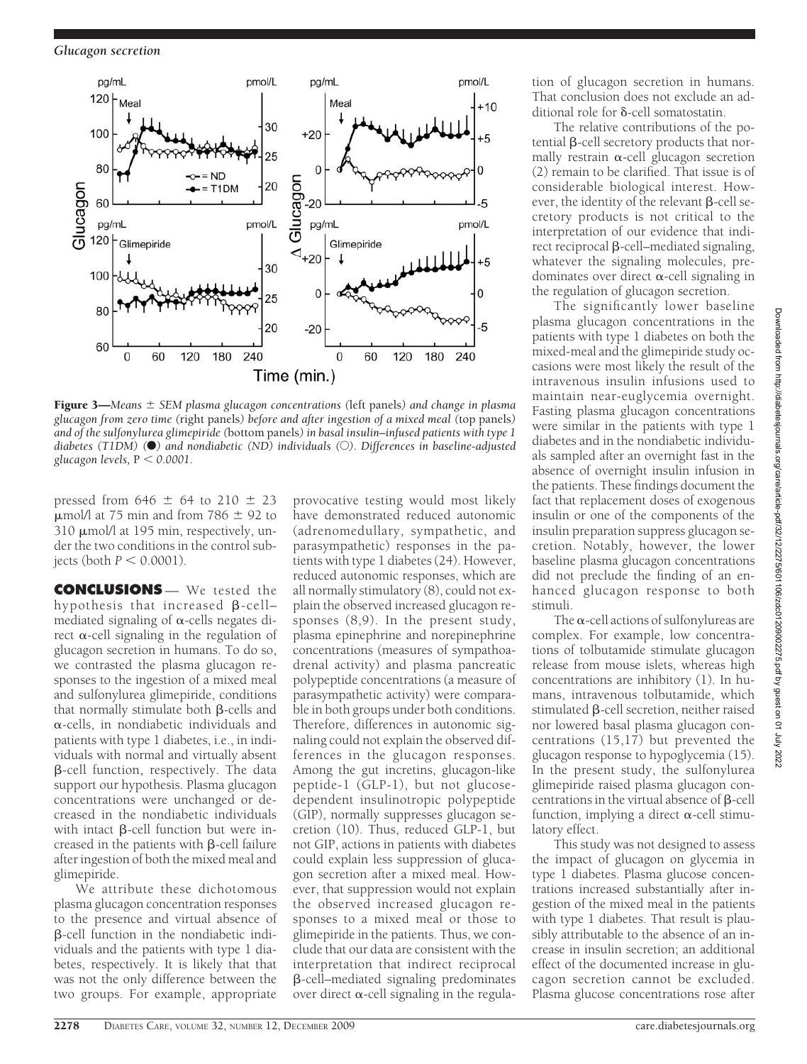*Glucagon secretion*



Figure 3—*Means SEM plasma glucagon concentrations (*left panels*) and change in plasma glucagon from zero time (*right panels*) before and after ingestion of a mixed meal (*top panels*) and of the sulfonylurea glimepiride (*bottom panels*) in basal insulin–infused patients with type 1 diabetes (T1DM) (*F*) and nondiabetic (ND) individuals (*E*). Differences in baseline-adjusted glucagon levels,*  $P < 0.0001$ .

pressed from  $646 \pm 64$  to  $210 \pm 23$  $\mu$ mol/l at 75 min and from 786  $\pm$  92 to 310 µmol/l at 195 min, respectively, under the two conditions in the control subjects (both  $P < 0.0001$ ).

**CONCLUSIONS** — We tested the hypothesis that increased  $\beta$ -cellmediated signaling of  $\alpha$ -cells negates direct  $\alpha$ -cell signaling in the regulation of glucagon secretion in humans. To do so, we contrasted the plasma glucagon responses to the ingestion of a mixed meal and sulfonylurea glimepiride, conditions that normally stimulate both  $\beta$ -cells and --cells, in nondiabetic individuals and patients with type 1 diabetes, i.e., in individuals with normal and virtually absent  $\beta$ -cell function, respectively. The data support our hypothesis. Plasma glucagon concentrations were unchanged or decreased in the nondiabetic individuals with intact  $\beta$ -cell function but were increased in the patients with  $\beta$ -cell failure after ingestion of both the mixed meal and glimepiride.

We attribute these dichotomous plasma glucagon concentration responses to the presence and virtual absence of -cell function in the nondiabetic individuals and the patients with type 1 diabetes, respectively. It is likely that that was not the only difference between the two groups. For example, appropriate

provocative testing would most likely have demonstrated reduced autonomic (adrenomedullary, sympathetic, and parasympathetic) responses in the patients with type 1 diabetes (24). However, reduced autonomic responses, which are all normally stimulatory (8), could not explain the observed increased glucagon responses (8,9). In the present study, plasma epinephrine and norepinephrine concentrations (measures of sympathoadrenal activity) and plasma pancreatic polypeptide concentrations (a measure of parasympathetic activity) were comparable in both groups under both conditions. Therefore, differences in autonomic signaling could not explain the observed differences in the glucagon responses. Among the gut incretins, glucagon-like peptide-1 (GLP-1), but not glucosedependent insulinotropic polypeptide (GIP), normally suppresses glucagon secretion (10). Thus, reduced GLP-1, but not GIP, actions in patients with diabetes could explain less suppression of glucagon secretion after a mixed meal. However, that suppression would not explain the observed increased glucagon responses to a mixed meal or those to glimepiride in the patients. Thus, we conclude that our data are consistent with the interpretation that indirect reciprocal -cell–mediated signaling predominates over direct  $\alpha$ -cell signaling in the regulation of glucagon secretion in humans. That conclusion does not exclude an additional role for  $\delta$ -cell somatostatin.

The relative contributions of the po $t$ ential  $\beta$ -cell secretory products that normally restrain  $\alpha$ -cell glucagon secretion (2) remain to be clarified. That issue is of considerable biological interest. However, the identity of the relevant  $\beta$ -cell secretory products is not critical to the interpretation of our evidence that indirect reciprocal  $\beta$ -cell–mediated signaling, whatever the signaling molecules, predominates over direct  $\alpha$ -cell signaling in the regulation of glucagon secretion.

The significantly lower baseline plasma glucagon concentrations in the patients with type 1 diabetes on both the mixed-meal and the glimepiride study occasions were most likely the result of the intravenous insulin infusions used to maintain near-euglycemia overnight. Fasting plasma glucagon concentrations were similar in the patients with type 1 diabetes and in the nondiabetic individuals sampled after an overnight fast in the absence of overnight insulin infusion in the patients. These findings document the fact that replacement doses of exogenous insulin or one of the components of the insulin preparation suppress glucagon secretion. Notably, however, the lower baseline plasma glucagon concentrations did not preclude the finding of an enhanced glucagon response to both stimuli.

The  $\alpha$ -cell actions of sulfonylureas are complex. For example, low concentrations of tolbutamide stimulate glucagon release from mouse islets, whereas high concentrations are inhibitory (1). In humans, intravenous tolbutamide, which stimulated  $\beta$ -cell secretion, neither raised nor lowered basal plasma glucagon concentrations (15,17) but prevented the glucagon response to hypoglycemia (15). In the present study, the sulfonylurea glimepiride raised plasma glucagon concentrations in the virtual absence of  $\beta$ -cell function, implying a direct  $\alpha$ -cell stimulatory effect.

This study was not designed to assess the impact of glucagon on glycemia in type 1 diabetes. Plasma glucose concentrations increased substantially after ingestion of the mixed meal in the patients with type 1 diabetes. That result is plausibly attributable to the absence of an increase in insulin secretion; an additional effect of the documented increase in glucagon secretion cannot be excluded. Plasma glucose concentrations rose after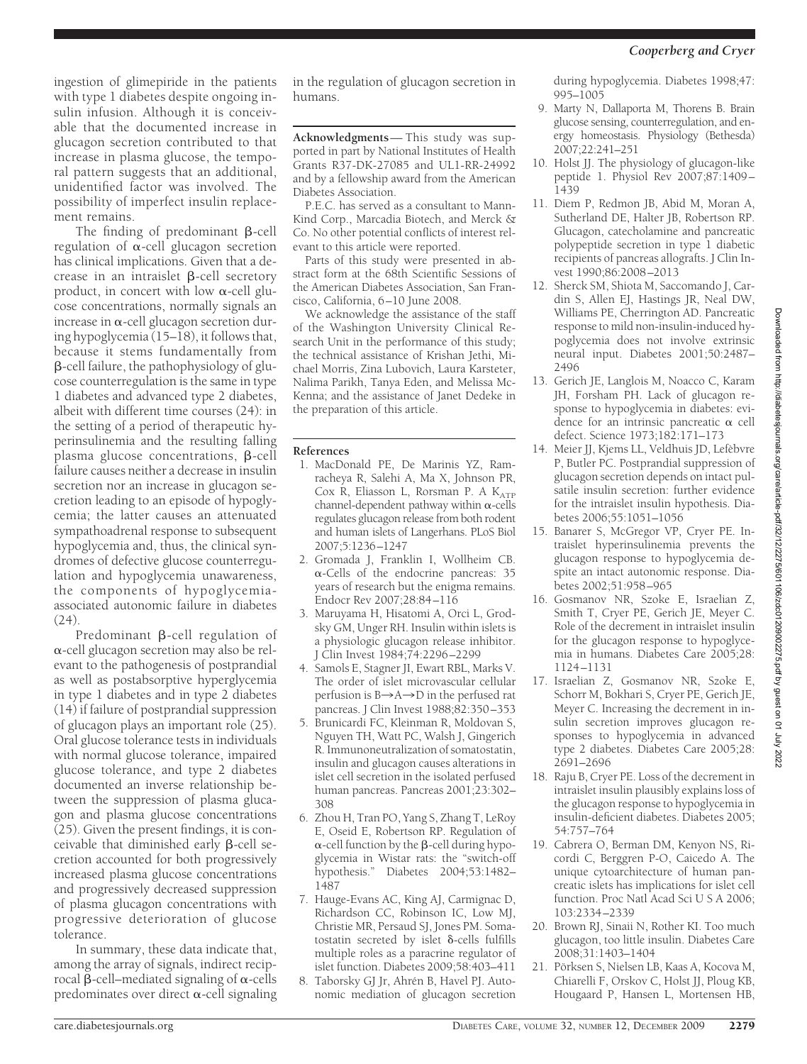ingestion of glimepiride in the patients with type 1 diabetes despite ongoing insulin infusion. Although it is conceivable that the documented increase in glucagon secretion contributed to that increase in plasma glucose, the temporal pattern suggests that an additional, unidentified factor was involved. The possibility of imperfect insulin replacement remains.

The finding of predominant  $\beta$ -cell regulation of  $\alpha$ -cell glucagon secretion has clinical implications. Given that a decrease in an intraislet  $\beta$ -cell secretory product, in concert with low  $\alpha$ -cell glucose concentrations, normally signals an increase in  $\alpha$ -cell glucagon secretion during hypoglycemia (15–18), it follows that, because it stems fundamentally from -cell failure, the pathophysiology of glucose counterregulation is the same in type 1 diabetes and advanced type 2 diabetes, albeit with different time courses (24): in the setting of a period of therapeutic hyperinsulinemia and the resulting falling  $p$ lasma glucose concentrations,  $\beta$ -cell failure causes neither a decrease in insulin secretion nor an increase in glucagon secretion leading to an episode of hypoglycemia; the latter causes an attenuated sympathoadrenal response to subsequent hypoglycemia and, thus, the clinical syndromes of defective glucose counterregulation and hypoglycemia unawareness, the components of hypoglycemiaassociated autonomic failure in diabetes (24).

Predominant  $\beta$ -cell regulation of  $\alpha$ -cell glucagon secretion may also be relevant to the pathogenesis of postprandial as well as postabsorptive hyperglycemia in type 1 diabetes and in type 2 diabetes (14) if failure of postprandial suppression of glucagon plays an important role (25). Oral glucose tolerance tests in individuals with normal glucose tolerance, impaired glucose tolerance, and type 2 diabetes documented an inverse relationship between the suppression of plasma glucagon and plasma glucose concentrations (25). Given the present findings, it is conceivable that diminished early  $\beta$ -cell secretion accounted for both progressively increased plasma glucose concentrations and progressively decreased suppression of plasma glucagon concentrations with progressive deterioration of glucose tolerance.

In summary, these data indicate that, among the array of signals, indirect reciprocal  $\beta$ -cell–mediated signaling of  $\alpha$ -cells predominates over direct  $\alpha$ -cell signaling

in the regulation of glucagon secretion in humans.

**Acknowledgments**— This study was supported in part by National Institutes of Health Grants R37-DK-27085 and UL1-RR-24992 and by a fellowship award from the American Diabetes Association.

P.E.C. has served as a consultant to Mann-Kind Corp., Marcadia Biotech, and Merck & Co. No other potential conflicts of interest relevant to this article were reported.

Parts of this study were presented in abstract form at the 68th Scientific Sessions of the American Diabetes Association, San Francisco, California, 6–10 June 2008.

We acknowledge the assistance of the staff of the Washington University Clinical Research Unit in the performance of this study; the technical assistance of Krishan Jethi, Michael Morris, Zina Lubovich, Laura Karsteter, Nalima Parikh, Tanya Eden, and Melissa Mc-Kenna; and the assistance of Janet Dedeke in the preparation of this article.

#### **References**

- 1. MacDonald PE, De Marinis YZ, Ramracheya R, Salehi A, Ma X, Johnson PR, Cox R, Eliasson L, Rorsman P. A  $K_{ATP}$  $channel-dependent$  pathway within  $\alpha$ -cells regulates glucagon release from both rodent and human islets of Langerhans. PLoS Biol 2007;5:1236–1247
- 2. Gromada J, Franklin I, Wollheim CB.  $\alpha$ -Cells of the endocrine pancreas: 35 years of research but the enigma remains. Endocr Rev 2007;28:84–116
- 3. Maruyama H, Hisatomi A, Orci L, Grodsky GM, Unger RH. Insulin within islets is a physiologic glucagon release inhibitor. J Clin Invest 1984;74:2296–2299
- 4. Samols E, Stagner JI, Ewart RBL, Marks V. The order of islet microvascular cellular perfusion is  $B \rightarrow A \rightarrow D$  in the perfused rat pancreas. J Clin Invest 1988;82:350–353
- 5. Brunicardi FC, Kleinman R, Moldovan S, Nguyen TH, Watt PC, Walsh J, Gingerich R. Immunoneutralization of somatostatin, insulin and glucagon causes alterations in islet cell secretion in the isolated perfused human pancreas. Pancreas 2001;23:302– 308
- 6. Zhou H, Tran PO, Yang S, Zhang T, LeRoy E, Oseid E, Robertson RP. Regulation of  $\alpha$ -cell function by the  $\beta$ -cell during hypoglycemia in Wistar rats: the "switch-off hypothesis." Diabetes 2004;53:1482– 1487
- 7. Hauge-Evans AC, King AJ, Carmignac D, Richardson CC, Robinson IC, Low MJ, Christie MR, Persaud SJ, Jones PM. Somatostatin secreted by islet  $\delta$ -cells fulfills multiple roles as a paracrine regulator of islet function. Diabetes 2009;58:403–411
- 8. Taborsky GJ Jr, Ahrén B, Havel PJ. Autonomic mediation of glucagon secretion

during hypoglycemia. Diabetes 1998;47: 995–1005

- 9. Marty N, Dallaporta M, Thorens B. Brain glucose sensing, counterregulation, and energy homeostasis. Physiology (Bethesda) 2007;22:241–251
- 10. Holst JJ. The physiology of glucagon-like peptide 1. Physiol Rev 2007;87:1409– 1439
- 11. Diem P, Redmon JB, Abid M, Moran A, Sutherland DE, Halter JB, Robertson RP. Glucagon, catecholamine and pancreatic polypeptide secretion in type 1 diabetic recipients of pancreas allografts. J Clin Invest 1990;86:2008–2013
- 12. Sherck SM, Shiota M, Saccomando J, Cardin S, Allen EJ, Hastings JR, Neal DW, Williams PE, Cherrington AD. Pancreatic response to mild non-insulin-induced hypoglycemia does not involve extrinsic neural input. Diabetes 2001;50:2487– 2496
- 13. Gerich JE, Langlois M, Noacco C, Karam JH, Forsham PH. Lack of glucagon response to hypoglycemia in diabetes: evidence for an intrinsic pancreatic  $\alpha$  cell defect. Science 1973;182:171–173
- 14. Meier JJ, Kjems LL, Veldhuis JD, Lefèbvre P, Butler PC. Postprandial suppression of glucagon secretion depends on intact pulsatile insulin secretion: further evidence for the intraislet insulin hypothesis. Diabetes 2006;55:1051–1056
- 15. Banarer S, McGregor VP, Cryer PE. Intraislet hyperinsulinemia prevents the glucagon response to hypoglycemia despite an intact autonomic response. Diabetes 2002;51:958–965
- 16. Gosmanov NR, Szoke E, Israelian Z, Smith T, Cryer PE, Gerich JE, Meyer C. Role of the decrement in intraislet insulin for the glucagon response to hypoglycemia in humans. Diabetes Care 2005;28: 1124–1131
- 17. Israelian Z, Gosmanov NR, Szoke E, Schorr M, Bokhari S, Cryer PE, Gerich JE, Meyer C. Increasing the decrement in insulin secretion improves glucagon responses to hypoglycemia in advanced type 2 diabetes. Diabetes Care 2005;28: 2691–2696
- 18. Raju B, Cryer PE. Loss of the decrement in intraislet insulin plausibly explains loss of the glucagon response to hypoglycemia in insulin-deficient diabetes. Diabetes 2005; 54:757–764
- 19. Cabrera O, Berman DM, Kenyon NS, Ricordi C, Berggren P-O, Caicedo A. The unique cytoarchitecture of human pancreatic islets has implications for islet cell function. Proc Natl Acad Sci U S A 2006; 103:2334–2339
- 20. Brown RJ, Sinaii N, Rother KI. Too much glucagon, too little insulin. Diabetes Care 2008;31:1403–1404
- 21. Pörksen S, Nielsen LB, Kaas A, Kocova M, Chiarelli F, Orskov C, Holst JJ, Ploug KB, Hougaard P, Hansen L, Mortensen HB,